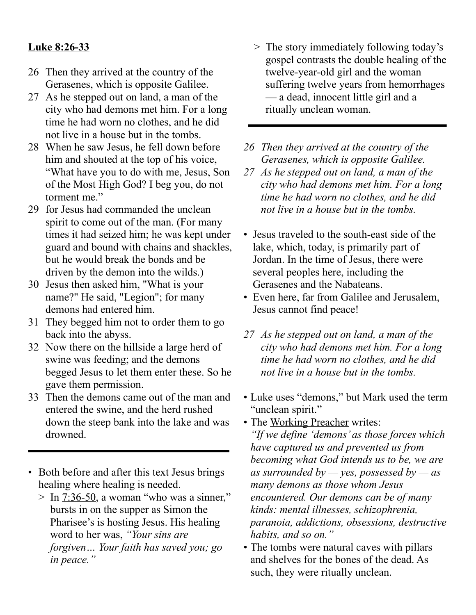## **Luke 8:26-33**

- 26 Then they arrived at the country of the Gerasenes, which is opposite Galilee.
- 27 As he stepped out on land, a man of the city who had demons met him. For a long time he had worn no clothes, and he did not live in a house but in the tombs.
- 28 When he saw Jesus, he fell down before him and shouted at the top of his voice, "What have you to do with me, Jesus, Son of the Most High God? I beg you, do not torment me."
- 29 for Jesus had commanded the unclean spirit to come out of the man. (For many times it had seized him; he was kept under guard and bound with chains and shackles, but he would break the bonds and be driven by the demon into the wilds.)
- 30 Jesus then asked him, "What is your name?" He said, "Legion"; for many demons had entered him.
- 31 They begged him not to order them to go back into the abyss.
- 32 Now there on the hillside a large herd of swine was feeding; and the demons begged Jesus to let them enter these. So he gave them permission.
- 33 Then the demons came out of the man and entered the swine, and the herd rushed down the steep bank into the lake and was drowned.
- Both before and after this text Jesus brings healing where healing is needed.
	- $>$  In 7:36-50, a woman "who was a sinner," bursts in on the supper as Simon the Pharisee's is hosting Jesus. His healing word to her was, *"Your sins are forgiven… Your faith has saved you; go in peace."*
- > The story immediately following today's gospel contrasts the double healing of the twelve-year-old girl and the woman suffering twelve years from hemorrhages — a dead, innocent little girl and a ritually unclean woman.
- *26 Then they arrived at the country of the Gerasenes, which is opposite Galilee.*
- *27 As he stepped out on land, a man of the city who had demons met him. For a long time he had worn no clothes, and he did not live in a house but in the tombs.*
- Jesus traveled to the south-east side of the lake, which, today, is primarily part of Jordan. In the time of Jesus, there were several peoples here, including the Gerasenes and the Nabateans.
- Even here, far from Galilee and Jerusalem, Jesus cannot find peace!
- *27 As he stepped out on land, a man of the city who had demons met him. For a long time he had worn no clothes, and he did not live in a house but in the tombs.*
- Luke uses "demons," but Mark used the term "unclean spirit."

• The Working Preacher writes: *"If we define 'demons' as those forces which have captured us and prevented us from becoming what God intends us to be, we are as surrounded by — yes, possessed by — as many demons as those whom Jesus encountered. Our demons can be of many kinds: mental illnesses, schizophrenia, paranoia, addictions, obsessions, destructive habits, and so on."*

• The tombs were natural caves with pillars and shelves for the bones of the dead. As such, they were ritually unclean.